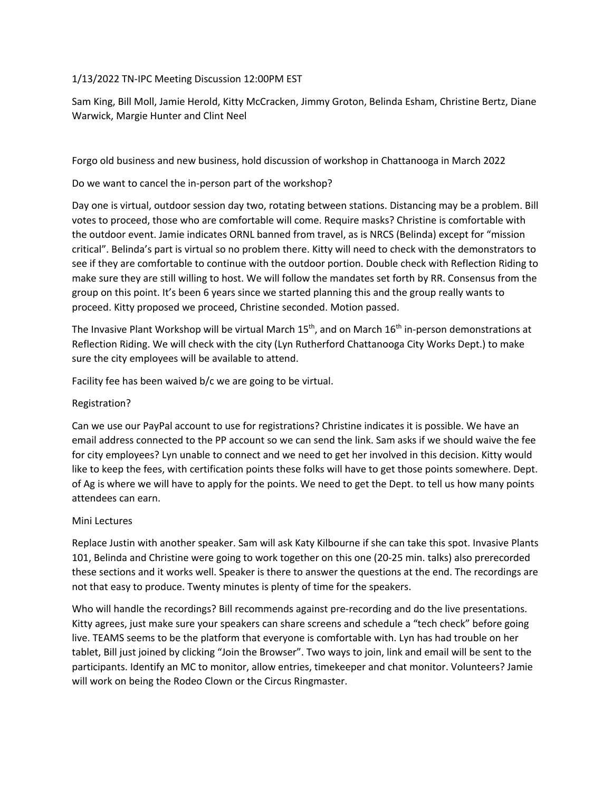## 1/13/2022 TN-IPC Meeting Discussion 12:00PM EST

Sam King, Bill Moll, Jamie Herold, Kitty McCracken, Jimmy Groton, Belinda Esham, Christine Bertz, Diane Warwick, Margie Hunter and Clint Neel

Forgo old business and new business, hold discussion of workshop in Chattanooga in March 2022

Do we want to cancel the in-person part of the workshop?

Day one is virtual, outdoor session day two, rotating between stations. Distancing may be a problem. Bill votes to proceed, those who are comfortable will come. Require masks? Christine is comfortable with the outdoor event. Jamie indicates ORNL banned from travel, as is NRCS (Belinda) except for "mission critical". Belinda's part is virtual so no problem there. Kitty will need to check with the demonstrators to see if they are comfortable to continue with the outdoor portion. Double check with Reflection Riding to make sure they are still willing to host. We will follow the mandates set forth by RR. Consensus from the group on this point. It's been 6 years since we started planning this and the group really wants to proceed. Kitty proposed we proceed, Christine seconded. Motion passed.

The Invasive Plant Workshop will be virtual March  $15<sup>th</sup>$ , and on March  $16<sup>th</sup>$  in-person demonstrations at Reflection Riding. We will check with the city (Lyn Rutherford Chattanooga City Works Dept.) to make sure the city employees will be available to attend.

Facility fee has been waived b/c we are going to be virtual.

## Registration?

Can we use our PayPal account to use for registrations? Christine indicates it is possible. We have an email address connected to the PP account so we can send the link. Sam asks if we should waive the fee for city employees? Lyn unable to connect and we need to get her involved in this decision. Kitty would like to keep the fees, with certification points these folks will have to get those points somewhere. Dept. of Ag is where we will have to apply for the points. We need to get the Dept. to tell us how many points attendees can earn.

## Mini Lectures

Replace Justin with another speaker. Sam will ask Katy Kilbourne if she can take this spot. Invasive Plants 101, Belinda and Christine were going to work together on this one (20-25 min. talks) also prerecorded these sections and it works well. Speaker is there to answer the questions at the end. The recordings are not that easy to produce. Twenty minutes is plenty of time for the speakers.

Who will handle the recordings? Bill recommends against pre-recording and do the live presentations. Kitty agrees, just make sure your speakers can share screens and schedule a "tech check" before going live. TEAMS seems to be the platform that everyone is comfortable with. Lyn has had trouble on her tablet, Bill just joined by clicking "Join the Browser". Two ways to join, link and email will be sent to the participants. Identify an MC to monitor, allow entries, timekeeper and chat monitor. Volunteers? Jamie will work on being the Rodeo Clown or the Circus Ringmaster.